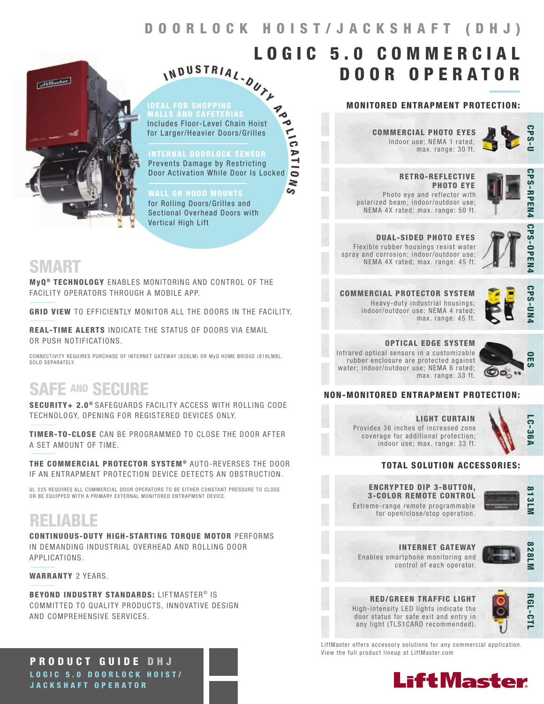$\frac{1}{10}$ 

A T I  $\bullet$ N  $\overline{\mathcal{G}}$ 



IDEAL FOR SHOPPING Includes Floor-Level Chain Hoist for Larger/Heavier Doors/Grilles N D U S T R I A L - OUT Y Madr

I

INTERNAL DOORLOCK SENSOR Prevents Damage by Restricting Door Activation While Door Is Locked

WALL OR HOOD MOUNTS for Rolling Doors/Grilles and Sectional Overhead Doors with Vertical High Lift

### SMART

MyQ<sup>®</sup> TECHNOLOGY ENABLES MONITORING AND CONTROL OF THE FACILITY OPERATORS THROUGH A MOBILE APP.

GRID VIEW TO EFFICIENTLY MONITOR ALL THE DOORS IN THE FACILITY.

REAL-TIME ALERTS INDICATE THE STATUS OF DOORS VIA EMAIL OR PUSH NOTIFICATIONS.

CONNECTIVITY REQUIRES PURCHASE OF INTERNET GATEWAY (828LM) OR MyQ HOME BRIDGE (819LMB), SOLD SEPARATELY.

## SAFE AND SECURE

SECURITY+ 2.0<sup>®</sup> SAFEGUARDS FACILITY ACCESS WITH ROLLING CODE TECHNOLOGY, OPENING FOR REGISTERED DEVICES ONLY.

TIMER-TO-CLOSE CAN BE PROGRAMMED TO CLOSE THE DOOR AFTER A SET AMOUNT OF TIME.

THE COMMERCIAL PROTECTOR SYSTEM® AUTO-REVERSES THE DOOR IF AN ENTRAPMENT PROTECTION DEVICE DETECTS AN OBSTRUCTION.

UL 325 REQUIRES ALL COMMERCIAL DOOR OPERATORS TO BE EITHER CONSTANT PRESSURE TO CLOSE OR BE EQUIPPED WITH A PRIMARY EXTERNAL MONITORED ENTRAPMENT DEVICE.

## RELIABLE

CONTINUOUS-DUTY HIGH-STARTING TORQUE MOTOR PERFORMS IN DEMANDING INDUSTRIAL OVERHEAD AND ROLLING DOOR APPLICATIONS.

WARRANTY 2 YEARS.

BEYOND INDUSTRY STANDARDS: LIFTMASTER® IS COMMITTED TO QUALITY PRODUCTS, INNOVATIVE DESIGN AND COMPREHENSIVE SERVICES.

PRODUCT GUIDE DHJ LOGIC 5.0 DOORLOCK HOIST/ JACKSHAFT OPERATOR

#### MONITORED ENTRAPMENT PROTECTION:

DOOR OPERATOR

Indoor use; NEMA 1 rated; max. range: 30 ft. COMMERCIAL PHOTO EYES

LOGIC 5.0 COMMERCIAL



 RETRO-REFLECTIVE PHOTO EYE Photo eye and reflector with polarized beam; indoor/outdoor use; NEMA 4X rated; max. range: 50 ft.



DUAL-SIDED PHOTO EYES Flexible rubber housings resist water spray and corrosion; indoor/outdoor use; NEMA 4X rated; max. range: 45 ft.



**CPS-OPEN** 

COMMERCIAL PROTECTOR SYSTEM Heavy-duty industrial housings; indoor/outdoor use; NEMA 4 rated; max. range: 45 ft.

**CPS-UN** 

OPTICAL EDGE SYSTEM Infrared optical sensors in a customizable rubber enclosure are protected against water; indoor/outdoor use; NEMA 6 rated; max. range: 33 ft.



### NON-MONITORED ENTRAPMENT PROTECTION:

LIGHT CURTAIN Provides 36 inches of increased zone coverage for additional protection; indoor use; max. range: 33 ft.



### TOTAL SOLUTION ACCESSORIES:

Extreme-range remote programmable ENCRYPTED DIP 3-BUTTON, 3-COLOR REMOTE CONTROL

for open/close/stop operation.

control of each operator.



Enables smartphone monitoring and INTERNET GATEWAY



#### RED/GREEN TRAFFIC LIGHT High-intensity LED lights indicate the door status for safe exit and entry in any light (TLS1CARD recommended).

 RGL-CTL **RGL-CT** 

LiftMaster offers accessory solutions for any commercial application. View the full product lineup at LiftMaster.com